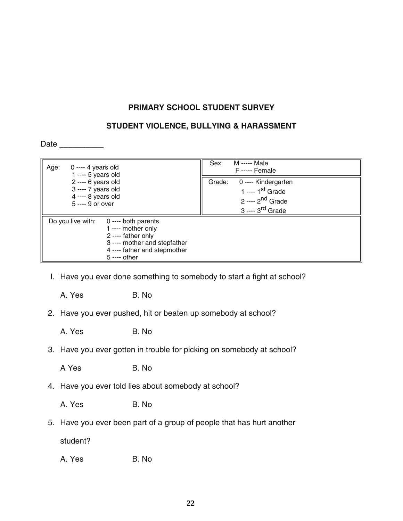## **PRIMARY SCHOOL STUDENT SURVEY**

## **STUDENT VIOLENCE, BULLYING & HARASSMENT**

Date \_\_\_\_\_\_\_\_\_\_

| Age:                                                                                   | $0$ ---- 4 years old<br>$1$ ---- 5 years old                                                                                                       | Sex:   | M ----- Male<br>F----- Female                                                                                       |
|----------------------------------------------------------------------------------------|----------------------------------------------------------------------------------------------------------------------------------------------------|--------|---------------------------------------------------------------------------------------------------------------------|
| $2$ ---- 6 years old<br>3 ---- 7 years old<br>$4$ ---- 8 years old<br>5 ---- 9 or over |                                                                                                                                                    | Grade: | 0 ---- Kindergarten<br>1 ---- 1 <sup>st</sup> Grade<br>2 ---- 2 <sup>nd</sup> Grade<br>3 ---- 3 <sup>rd</sup> Grade |
| Do you live with:                                                                      | $0$ ---- both parents<br>1 ---- mother only<br>2 ---- father only<br>3 ---- mother and stepfather<br>4 ---- father and stepmother<br>$5 - -$ other |        |                                                                                                                     |

l. Have you ever done something to somebody to start a fight at school?

A. Yes B. No.

- 2. Have you ever pushed, hit or beaten up somebody at school?
	- A. Yes B. No.
- 3. Have you ever gotten in trouble for picking on somebody at school?

A Yes B. No.

4. Have you ever told lies about somebody at school?

A. Yes B. No.

5. Have you ever been part of a group of people that has hurt another

student?

A. Yes B. No.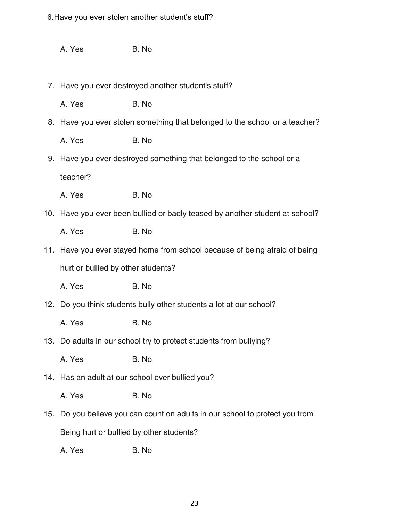6.Have you ever stolen another student's stuff?

|     | A. Yes                                                                       | B. No                                                                    |  |  |
|-----|------------------------------------------------------------------------------|--------------------------------------------------------------------------|--|--|
|     |                                                                              |                                                                          |  |  |
|     | 7. Have you ever destroyed another student's stuff?                          |                                                                          |  |  |
|     | A. Yes                                                                       | B. No                                                                    |  |  |
|     | 8. Have you ever stolen something that belonged to the school or a teacher?  |                                                                          |  |  |
|     | A. Yes                                                                       | B. No                                                                    |  |  |
|     | 9. Have you ever destroyed something that belonged to the school or a        |                                                                          |  |  |
|     | teacher?                                                                     |                                                                          |  |  |
|     | A. Yes                                                                       | B. No                                                                    |  |  |
|     | 10. Have you ever been bullied or badly teased by another student at school? |                                                                          |  |  |
|     | A. Yes                                                                       | B. No                                                                    |  |  |
|     | 11. Have you ever stayed home from school because of being afraid of being   |                                                                          |  |  |
|     | hurt or bullied by other students?                                           |                                                                          |  |  |
|     | A. Yes                                                                       | B. No                                                                    |  |  |
|     | 12. Do you think students bully other students a lot at our school?          |                                                                          |  |  |
|     | A. Yes                                                                       | B. No                                                                    |  |  |
|     | 13. Do adults in our school try to protect students from bullying?           |                                                                          |  |  |
|     | A. Yes                                                                       | B. No                                                                    |  |  |
|     | 14. Has an adult at our school ever bullied you?                             |                                                                          |  |  |
|     | A. Yes                                                                       | B. No                                                                    |  |  |
| 15. |                                                                              | Do you believe you can count on adults in our school to protect you from |  |  |
|     | Being hurt or bullied by other students?                                     |                                                                          |  |  |
|     | A. Yes                                                                       | B. No                                                                    |  |  |